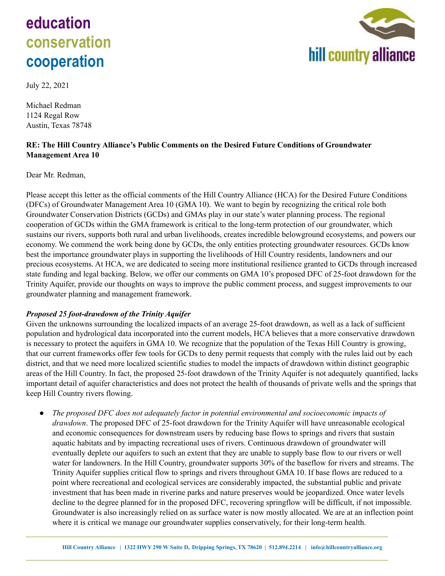# **education conservation cooperation**



July 22, 2021

Michael Redman 1124 Regal Row Austin, Texas 78748

# **RE: The Hill Country Alliance's Public Comments on the Desired Future Conditions of Groundwater Management Area 10**

Dear Mr. Redman,

Please accept this letter as the official comments of the Hill Country Alliance (HCA) for the Desired Future Conditions (DFCs) of Groundwater Management Area 10 (GMA 10). We want to begin by recognizing the critical role both Groundwater Conservation Districts (GCDs) and GMAs play in our state's water planning process. The regional cooperation of GCDs within the GMA framework is critical to the long-term protection of our groundwater, which sustains our rivers, supports both rural and urban livelihoods, creates incredible belowground ecosystems, and powers our economy. We commend the work being done by GCDs, the only entities protecting groundwater resources. GCDs know best the importance groundwater plays in supporting the livelihoods of Hill Country residents, landowners and our precious ecosystems. At HCA, we are dedicated to seeing more institutional resilience granted to GCDs through increased state funding and legal backing. Below, we offer our comments on GMA 10's proposed DFC of 25-foot drawdown for the Trinity Aquifer, provide our thoughts on ways to improve the public comment process, and suggest improvements to our groundwater planning and management framework.

# *Proposed 25 foot-drawdown of the Trinity Aquifer*

Given the unknowns surrounding the localized impacts of an average 25-foot drawdown, as well as a lack of sufficient population and hydrological data incorporated into the current models, HCA believes that a more conservative drawdown is necessary to protect the aquifers in GMA 10. We recognize that the population of the Texas Hill Country is growing, that our current frameworks offer few tools for GCDs to deny permit requests that comply with the rules laid out by each district, and that we need more localized scientific studies to model the impacts of drawdown within distinct geographic areas of the Hill Country. In fact, the proposed 25-foot drawdown of the Trinity Aquifer is not adequately quantified, lacks important detail of aquifer characteristics and does not protect the health of thousands of private wells and the springs that keep Hill Country rivers flowing.

● *The proposed DFC does not adequately factor in potential environmental and socioeconomic impacts of drawdown*. The proposed DFC of 25-foot drawdown for the Trinity Aquifer will have unreasonable ecological and economic consequences for downstream users by reducing base flows to springs and rivers that sustain aquatic habitats and by impacting recreational uses of rivers. Continuous drawdown of groundwater will eventually deplete our aquifers to such an extent that they are unable to supply base flow to our rivers or well water for landowners. In the Hill Country, groundwater supports 30% of the baseflow for rivers and streams. The Trinity Aquifer supplies critical flow to springs and rivers throughout GMA 10. If base flows are reduced to a point where recreational and ecological services are considerably impacted, the substantial public and private investment that has been made in riverine parks and nature preserves would be jeopardized. Once water levels decline to the degree planned for in the proposed DFC, recovering springflow will be difficult, if not impossible. Groundwater is also increasingly relied on as surface water is now mostly allocated. We are at an inflection point where it is critical we manage our groundwater supplies conservatively, for their long-term health.

**\_\_\_\_\_\_\_\_\_\_\_\_\_\_\_\_\_\_\_\_\_\_\_\_\_\_\_\_\_\_\_\_\_\_\_\_\_\_\_\_\_\_\_\_\_\_\_\_\_\_\_\_\_\_\_\_\_\_\_\_\_\_\_\_\_\_\_\_\_\_\_\_\_\_\_\_\_\_\_\_\_\_\_**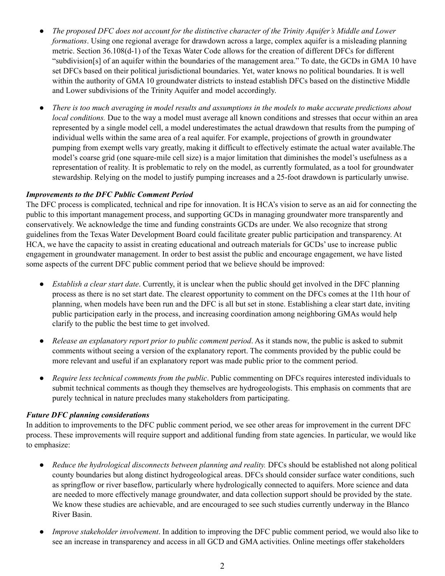- The proposed DFC does not account for the distinctive character of the Trinity Aquifer's Middle and Lower *formations*. Using one regional average for drawdown across a large, complex aquifer is a misleading planning metric. Section 36.108(d-1) of the Texas Water Code allows for the creation of different DFCs for different "subdivision[s] of an aquifer within the boundaries of the management area." To date, the GCDs in GMA 10 have set DFCs based on their political jurisdictional boundaries. Yet, water knows no political boundaries. It is well within the authority of GMA 10 groundwater districts to instead establish DFCs based on the distinctive Middle and Lower subdivisions of the Trinity Aquifer and model accordingly.
- There is too much averaging in model results and assumptions in the models to make accurate predictions about *local conditions.* Due to the way a model must average all known conditions and stresses that occur within an area represented by a single model cell, a model underestimates the actual drawdown that results from the pumping of individual wells within the same area of a real aquifer. For example, projections of growth in groundwater pumping from exempt wells vary greatly, making it difficult to effectively estimate the actual water available.The model's coarse grid (one square-mile cell size) is a major limitation that diminishes the model's usefulness as a representation of reality. It is problematic to rely on the model, as currently formulated, as a tool for groundwater stewardship. Relying on the model to justify pumping increases and a 25-foot drawdown is particularly unwise.

# *Improvements to the DFC Public Comment Period*

The DFC process is complicated, technical and ripe for innovation. It is HCA's vision to serve as an aid for connecting the public to this important management process, and supporting GCDs in managing groundwater more transparently and conservatively. We acknowledge the time and funding constraints GCDs are under. We also recognize that strong guidelines from the Texas Water Development Board could facilitate greater public participation and transparency. At HCA, we have the capacity to assist in creating educational and outreach materials for GCDs' use to increase public engagement in groundwater management. In order to best assist the public and encourage engagement, we have listed some aspects of the current DFC public comment period that we believe should be improved:

- *Establish a clear start date*. Currently, it is unclear when the public should get involved in the DFC planning process as there is no set start date. The clearest opportunity to comment on the DFCs comes at the 11th hour of planning, when models have been run and the DFC is all but set in stone. Establishing a clear start date, inviting public participation early in the process, and increasing coordination among neighboring GMAs would help clarify to the public the best time to get involved.
- *Release an explanatory report prior to public comment period*. As it stands now, the public is asked to submit comments without seeing a version of the explanatory report. The comments provided by the public could be more relevant and useful if an explanatory report was made public prior to the comment period.
- *Require less technical comments from the public*. Public commenting on DFCs requires interested individuals to submit technical comments as though they themselves are hydrogeologists. This emphasis on comments that are purely technical in nature precludes many stakeholders from participating.

# *Future DFC planning considerations*

In addition to improvements to the DFC public comment period, we see other areas for improvement in the current DFC process. These improvements will require support and additional funding from state agencies. In particular, we would like to emphasize:

- *Reduce the hydrological disconnects between planning and reality.* DFCs should be established not along political county boundaries but along distinct hydrogeological areas. DFCs should consider surface water conditions, such as springflow or river baseflow, particularly where hydrologically connected to aquifers. More science and data are needed to more effectively manage groundwater, and data collection support should be provided by the state. We know these studies are achievable, and are encouraged to see such studies currently underway in the Blanco River Basin.
- *Improve stakeholder involvement*. In addition to improving the DFC public comment period, we would also like to see an increase in transparency and access in all GCD and GMA activities. Online meetings offer stakeholders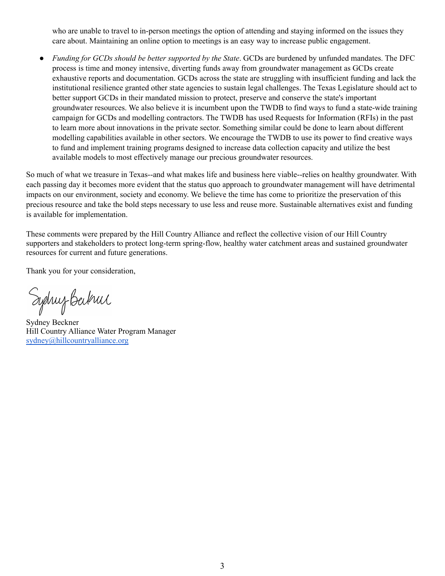who are unable to travel to in-person meetings the option of attending and staying informed on the issues they care about. Maintaining an online option to meetings is an easy way to increase public engagement.

● *Funding for GCDs should be better supported by the State*. GCDs are burdened by unfunded mandates. The DFC process is time and money intensive, diverting funds away from groundwater management as GCDs create exhaustive reports and documentation. GCDs across the state are struggling with insufficient funding and lack the institutional resilience granted other state agencies to sustain legal challenges. The Texas Legislature should act to better support GCDs in their mandated mission to protect, preserve and conserve the state's important groundwater resources. We also believe it is incumbent upon the TWDB to find ways to fund a state-wide training campaign for GCDs and modelling contractors. The TWDB has used Requests for Information (RFIs) in the past to learn more about innovations in the private sector. Something similar could be done to learn about different modelling capabilities available in other sectors. We encourage the TWDB to use its power to find creative ways to fund and implement training programs designed to increase data collection capacity and utilize the best available models to most effectively manage our precious groundwater resources.

So much of what we treasure in Texas--and what makes life and business here viable--relies on healthy groundwater. With each passing day it becomes more evident that the status quo approach to groundwater management will have detrimental impacts on our environment, society and economy. We believe the time has come to prioritize the preservation of this precious resource and take the bold steps necessary to use less and reuse more. Sustainable alternatives exist and funding is available for implementation.

These comments were prepared by the Hill Country Alliance and reflect the collective vision of our Hill Country supporters and stakeholders to protect long-term spring-flow, healthy water catchment areas and sustained groundwater resources for current and future generations.

Thank you for your consideration,

Sydney Beckul

Sydney Beckner Hill Country Alliance Water Program Manager [sydney@hillcountryalliance.org](mailto:sydney@hillcountryalliance.org)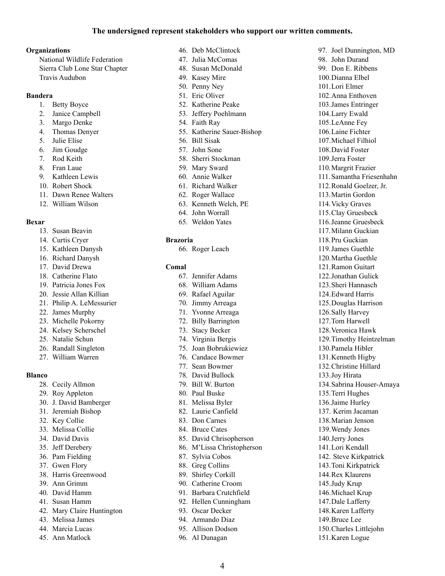## **The undersigned represent stakeholders who support our written comments.**

#### **Organizations**

National Wildlife Federation Sierra Club Lone Star Chapter Travis Audubon

## **Bandera**

- 1. Betty Boyce
- 2. Janice Campbell
- 3. Margo Denke
- 4. Thomas Denyer
- 5. Julie Elise
- 6. Jim Goudge
- 7. Rod Keith
- 8. Fran Laue
- 9. Kathleen Lewis
- 10. Robert Shock
- 11. Dawn Renee Walters
- 12. William Wilson

## **Bexar**

- 13. Susan Beavin
- 14. Curtis Cryer
- 15. Kathleen Danysh
- 16. Richard Danysh
- 17. David Drewa
- 18. Catherine Flato
- 19. Patricia Jones Fox
- 20. Jessie Allan Killian
- 21. Philip A. LeMessurier
- 22. James Murphy
- 23. Michelle Pokorny
- 24. Kelsey Scherschel
- 25. Natalie Schun
- 26. Randall Singleton
- 27. William Warren

# **Blanco**

- 28. Cecily Allmon
- 29. Roy Appleton
- 30. J. David Bamberger
- 31. Jeremiah Bishop
- 32. Key Collie
- 33. Melissa Collie
- 34. David Davis
- 35. Jeff Derebery
- 36. Pam Fielding
- 37. Gwen Flory
- 38. Harris Greenwood
- 39. Ann Grimm
- 40. David Hamm
- 41. Susan Hamm
- 42. Mary Claire Huntington
- 43. Melissa James
- 44. Marcia Lucas
- 45. Ann Matlock
- 46. Deb McClintock 47. Julia McComas 48. Susan McDonald 49. Kasey Mire 50. Penny Ney 51. Eric Oliver
- 52. Katherine Peake
- 53. Jeffery Poehlmann
- 54. Faith Ray
- 55. Katherine Sauer-Bishop
- 56. Bill Sisak
- 57. John Sone
- 58. Sherri Stockman
- 59. Mary Sward
- 60. Annie Walker
- 61. Richard Walker
- 62. Roger Wallace
- 63. Kenneth Welch, PE
- 64. John Worrall
- 65. Weldon Yates

# **Brazoria**

66. Roger Leach

# **Comal**

- 67. Jennifer Adams
- 68. William Adams
- 69. Rafael Aguilar
- 70. Jimmy Arreaga
- 71. Yvonne Arreaga
- 72. Billy Barrington
- 73. Stacy Becker
- 74. Virginia Bergis
- 75. Joan Bobrukiewiez
- 76. Candace Bowmer
- 77. Sean Bowmer
- 78. David Bullock
- 79. Bill W. Burton
- 80. Paul Buske
- 81. Melissa Byler
- 82. Laurie Canfield
- 83. Don Carnes
- 84. Bruce Cates
- 85. David Chrisopherson
- 86. M'Lissa Christopherson
- 87. Sylvia Cobos
- 88. Greg Collins
- 89. Shirley Corkill
- 90. Catherine Croom
- 91. Barbara Crutchfield
- 92. Hellen Cunningham

4

- 93. Oscar Decker
- 94. Armando Diaz
- 95. Allison Dodson
- 96. Al Dunagan

97. Joel Dunnington, MD 98. John Durand 99. Don E. Ribbens 100.Dianna Elbel 101.Lori Elmer 102.Anna Enthoven 103.James Entringer 104.Larry Ewald 105.LeAnne Fey 106.Laine Fichter 107.Michael Filhiol 108.David Foster 109.Jerra Foster 110.Margrit Frazier 111.Samantha Friesenhahn 112.Ronald Goelzer, Jr. 113.Martin Gordon 114.Vicky Graves 115.Clay Gruesbeck 116.Jeanne Gruesbeck 117.Milann Guckian 118.Pru Guckian 119.James Guethle 120.Martha Guethle 121.Ramon Guitart 122.Jonathan Gulick 123.Sheri Hannasch 124.Edward Harris 125.Douglas Harrison 126.Sally Harvey 127.Tom Harwell 128.Veronica Hawk 129.Timothy Heintzelman 130.Pamela Hibler 131.Kenneth Higby 132.Christine Hillard 133.Joy Hirata 134.Sabrina Houser-Amaya 135.Terri Hughes 136.Jaime Hurley 137. Kerim Jacaman 138.Marian Jenson 139.Wendy Jones 140.Jerry Jones 141.Lori Kendall 142. Steve Kirkpatrick 143.Toni Kirkpatrick 144.Rex Klaurens 145.Judy Krup 146.Michael Krup 147.Dale Lafferty 148.Karen Lafferty 149.Bruce Lee 150.Charles Littlejohn 151.Karen Logue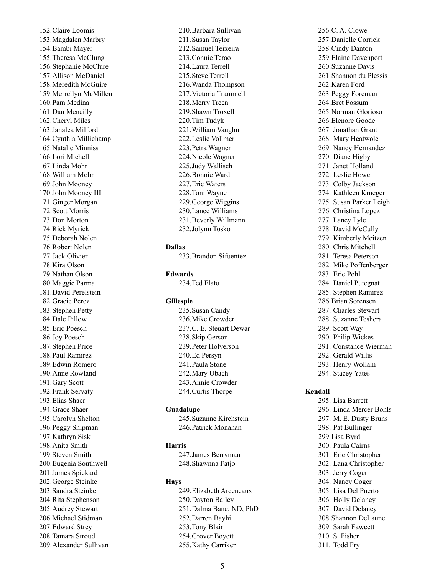152. Claire Loomis 153. Magdalen Marbry 154. Bambi Mayer 155. Theresa McClung 156. Stephanie McClure 157. Allison McDaniel 158. Meredith McGuire 159. Merrellyn McMillen 160. Pam Medina 161. Dan Meneilly 162. Cheryl Miles 163. Janalea Milford 164. Cynthia Millichamp 165. Natalie Minniss 166. Lori Michell 167. Linda Mohr 168. William Mohr 169. John Mooney 170. John Mooney III 171. Ginger Morgan 172. Scott Morris 173. Don Morton 174. Rick Myrick 175. Deborah Nolen 176. Robert Nolen 177. Jack Olivier 178. Kira Olson 179. Nathan Olson 180. Maggie Parma 181. David Perelstein 182. Gracie Perez 183. Stephen Petty 184. Dale Pillow 185. Eric Poesch 186. Joy Poesch 187. Stephen Price 188. Paul Ramirez 189. Edwin Romero 190. Anne Rowland 191. Gary Scott 192. Frank Servaty 193. Elias Shaer 194. Grace Shaer 195. Carolyn Shelton 196. Peggy Shipman 197. Kathryn Sisk 198. Anita Smith 199. Steven Smith 200. Eugenia Southwell 201. James Spickard 202. George Steinke 203. Sandra Steinke 204. Rita Stephenson 205. Audrey Stewart 206. Michael Stidman 207. Edward Strey 208. Tamara Stroud 209. Alexander Sullivan

210. Barbara Sullivan 211. Susan Taylor 212. Samuel Teixeira 213. Connie Terao 214. Laura Terrell 215. Steve Terrell 216. Wanda Thompson 217. Victoria Trammell 218. Merry Treen 219. Shawn Troxell 220. Tim Tudyk 221. William Vaughn 222. Leslie Vollmer 223. Petra Wagner 224. Nicole Wagner 225. Judy Wallisch 226. Bonnie Ward 227. Eric Waters 228. Toni Wayne 229. George Wiggins 230. Lance Williams 231. Beverly Willmann 232. Jolynn Tosko

**D a l l a s**

233. Brandon Sifuentez

**E d w a r d s** 234. Ted Flato

**Gillespie** 

235. Susan Candy 236. Mike Crowder 237.C. E. Steuart Dewar 238. Skip Gerson 239. Peter Holverson 240. Ed Persyn 241. Paula Stone 242. Mary Ubach 243. Annie Crowder 244. Curtis Thorpe

Guadalupe

245. Suzanne Kirchstein 246. Patrick Monahan

## **H a r r i s**

247. James Berryman 248. Shawnna Fatjo

# **H a y s**

249. Elizabeth Arceneaux 250. Dayton Bailey 251. Dalma Bane, ND, PhD 252. Darren Bayhi 253. Tony Blair 254. Grover Boyett 255. Kathy Carriker

2 5 6.C. A. C l o w e 257. Danielle Corrick 258. Cindy Danton 259. Elaine Davenport 260. Suzanne Davis 261. Shannon du Plessis 262. Karen Ford 263. Peggy Foreman 264. Bret Fossum 265. Norman Glorioso 266. Elenore Goode 267. Jonathan Grant 268. Mary Heatwole 269. Nancy Hernandez 270. Diane Higby 271. Janet Holland 272. Leslie Howe 273. Colby Jackson 274. Kathleen Krueger 275. Susan Parker Leigh 276. Christina Lopez 277. Laney Lyle 278. David McCully 279. Kimberly Meitzen 280. Chris Mitchell 281. Teresa Peterson 282. Mike Poffenberger 283. Eric Pohl 284. Daniel Putegnat 285. Stephen Ramirez 286. Brian Sorensen 287. Charles Stewart 288. Suzanne Teshera 289. Scott Way 290. Philip Wickes 291. Constance Wierman 292. Gerald Willis 293. Henry Wollam 294. Stacey Yates

#### **K e n d a l l**

295. Lisa Barrett 296. Linda Mercer Bohls 297. M. E. Dusty Bruns 298. Pat Bullinger 299. Lisa Byrd 300. Paula Cairns 301. Eric Christopher 302. Lana Christopher 303. Jerry Coger 304. Nancy Coger 305. Lisa Del Puerto 306. Holly Delaney 307. David Delaney 308. Shannon DeLaune 309. Sarah Fawcett 310. S. Fisher 311. Todd Fry